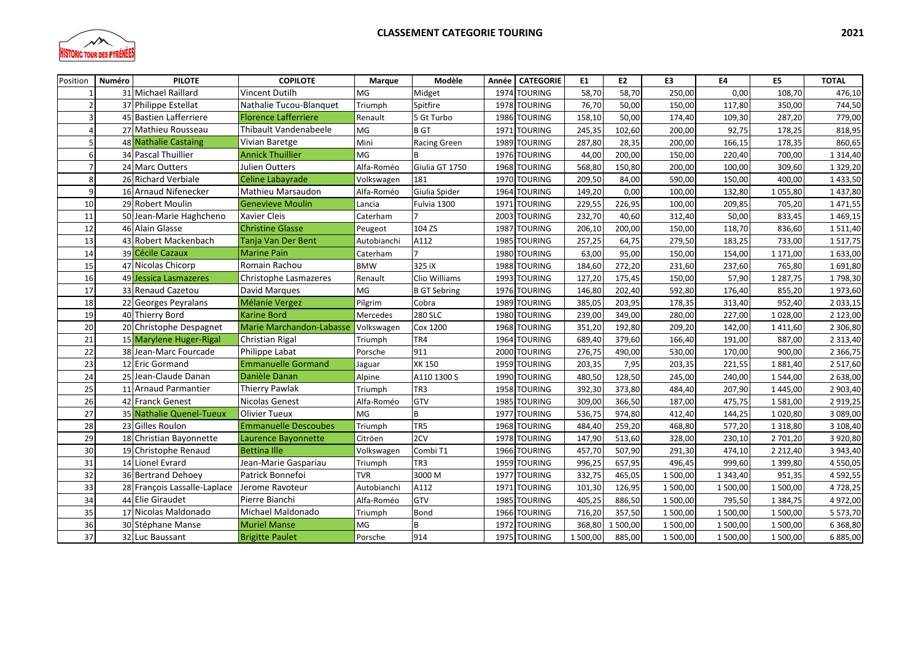

| Position | <b>PILOTE</b><br>Numéro      | <b>COPILOTE</b>             | Marque      | Modèle              | Année | <b>CATEGORIE</b> | E1       | E2       | E3       | <b>E4</b>     | E5            | <b>TOTAL</b>  |
|----------|------------------------------|-----------------------------|-------------|---------------------|-------|------------------|----------|----------|----------|---------------|---------------|---------------|
|          | 31 Michael Raillard          | <b>Vincent Dutilh</b>       | MG          | Midget              | 1974  | <b>TOURING</b>   | 58,70    | 58,70    | 250,00   | 0,00          | 108,70        | 476,10        |
|          | 37 Philippe Estellat         | Nathalie Tucou-Blanguet     | Triumph     | Spitfire            | 1978  | <b>TOURING</b>   | 76,70    | 50,00    | 150,00   | 117,80        | 350,00        | 744,50        |
|          | 45 Bastien Lafferriere       | <b>Florence Lafferriere</b> | Renault     | 5 Gt Turbo          | 1986  | <b>TOURING</b>   | 158,10   | 50.00    | 174,40   | 109,30        | 287,20        | 779,00        |
|          | 27 Mathieu Rousseau          | Thibault Vandenabeele       | <b>MG</b>   | <b>B</b> GT         | 1971  | <b>TOURING</b>   | 245,35   | 102,60   | 200,00   | 92,75         | 178,25        | 818,95        |
|          | 48 Nathalie Castaing         | Vivian Baretge              | Mini        | <b>Racing Green</b> | 1989  | <b>TOURING</b>   | 287,80   | 28,35    | 200,00   | 166,15        | 178,35        | 860,65        |
|          | 34 Pascal Thuillier          | <b>Annick Thuillier</b>     | MG          | B                   |       | 1976 TOURING     | 44,00    | 200,00   | 150,00   | 220,40        | 700,00        | 1 3 1 4 , 4 0 |
|          | 24 Marc Outters              | Julien Outters              | Alfa-Roméo  | Giulia GT 1750      | 1968  | <b>TOURING</b>   | 568,80   | 150,80   | 200,00   | 100,00        | 309,60        | 1 3 2 9 , 2 0 |
| 8        | 26 Richard Verbiale          | <b>Celine Labayrade</b>     | Volkswagen  | 181                 | 1970  | <b>TOURING</b>   | 209,50   | 84,00    | 590,00   | 150,00        | 400,00        | 1433,50       |
| q        | 16 Arnaud Nifenecker         | Mathieu Marsaudon           | Alfa-Roméo  | Giulia Spider       | 1964  | <b>TOURING</b>   | 149,20   | 0,00     | 100,00   | 132,80        | 1055,80       | 1437,80       |
| 10       | 29 Robert Moulin             | <b>Genevieve Moulin</b>     | Lancia      | Fulvia 1300         | 1971  | <b>TOURING</b>   | 229,55   | 226,95   | 100,00   | 209,85        | 705,20        | 1471,55       |
| 11       | 50 Jean-Marie Haghcheno      | <b>Xavier Cleis</b>         | Caterham    |                     | 2003  | <b>TOURING</b>   | 232,70   | 40.60    | 312,40   | 50.00         | 833,45        | 1469,15       |
| 12       | 46 Alain Glasse              | <b>Christine Glasse</b>     | Peugeot     | 104 ZS              | 1987  | <b>TOURING</b>   | 206,10   | 200,00   | 150,00   | 118,70        | 836,60        | 1511,40       |
| 13       | 43 Robert Mackenbach         | Tanja Van Der Bent          | Autobianchi | A112                | 1985  | <b>TOURING</b>   | 257,25   | 64,75    | 279,50   | 183,25        | 733,00        | 1517,75       |
| 14       | 39 Cécile Cazaux             | <b>Marine Pain</b>          | Caterham    |                     |       | 1980 TOURING     | 63,00    | 95,00    | 150,00   | 154,00        | 1 171,00      | 1633,00       |
| 15       | 47 Nicolas Chicorp           | Romain Rachou               | <b>BMW</b>  | 325 iX              | 1988  | <b>TOURING</b>   | 184,60   | 272,20   | 231,60   | 237,60        | 765,80        | 1691,80       |
| 16       | 49 Jessica Lasmazeres        | Christophe Lasmazeres       | Renault     | Clio Williams       |       | 1993 TOURING     | 127,20   | 175,45   | 150,00   | 57,90         | 1 2 8 7 , 7 5 | 1798,30       |
| 17       | 33 Renaud Cazetou            | David Marques               | MG          | <b>B GT Sebring</b> | 1976  | <b>TOURING</b>   | 146,80   | 202,40   | 592,80   | 176,40        | 855,20        | 1973,60       |
| 18       | 22 Georges Peyralans         | <b>Mélanie Vergez</b>       | Pilgrim     | Cobra               | 1989  | <b>TOURING</b>   | 385,05   | 203,95   | 178,35   | 313,40        | 952,40        | 2 033,15      |
| 19       | 40 Thierry Bord              | <b>Karine Bord</b>          | Mercedes    | <b>280 SLC</b>      | 1980  | <b>TOURING</b>   | 239,00   | 349,00   | 280,00   | 227,00        | 1028,00       | 2 123,00      |
| 20       | 20 Christophe Despagnet      | Marie Marchandon-Labasse    | Volkswagen  | Cox 1200            | 1968  | TOURING          | 351,20   | 192,80   | 209,20   | 142,00        | 1411,60       | 2 306,80      |
| 21       | 15 Marylene Huger-Rigal      | Christian Rigal             | Triumph     | TR4                 | 1964  | <b>TOURING</b>   | 689,40   | 379,60   | 166,40   | 191,00        | 887,00        | 2 3 1 3 , 4 0 |
| 22       | 38 Jean-Marc Fourcade        | Philippe Labat              | Porsche     | 911                 | 2000  | <b>TOURING</b>   | 276,75   | 490,00   | 530,00   | 170,00        | 900,00        | 2 3 6 6, 7 5  |
| 23       | 12 Eric Gormand              | <b>Emmanuelle Gormand</b>   | Jaguar      | <b>XK150</b>        | 1959  | <b>TOURING</b>   | 203,35   | 7,95     | 203,35   | 221,55        | 1881,40       | 2 5 1 7,60    |
| 24       | 25 Jean-Claude Danan         | Danièle Danan               | Alpine      | A110 1300 S         | 1990  | <b>TOURING</b>   | 480,50   | 128,50   | 245,00   | 240,00        | 1 544,00      | 2 638,00      |
| 25       | 11 Arnaud Parmantier         | <b>Thierry Pawlak</b>       | Triumph     | TR <sub>3</sub>     | 1958  | <b>TOURING</b>   | 392,30   | 373,80   | 484,40   | 207,90        | 1445,00       | 2 903,40      |
| 26       | 42 Franck Genest             | <b>Nicolas Genest</b>       | Alfa-Roméo  | GTV                 | 1985  | TOURING          | 309,00   | 366,50   | 187,00   | 475,75        | 1581,00       | 2919,25       |
| 27       | 35 Nathalie Quenel-Tueux     | <b>Olivier Tueux</b>        | <b>MG</b>   | B                   | 1977  | <b>TOURING</b>   | 536,75   | 974,80   | 412,40   | 144,25        | 1 0 20,80     | 3 089,00      |
| 28       | 23 Gilles Roulon             | <b>Emmanuelle Descoubes</b> | Triumph     | TR5                 | 1968  | <b>TOURING</b>   | 484,40   | 259,20   | 468,80   | 577,20        | 1 3 1 8,80    | 3 108,40      |
| 29       | 18 Christian Bayonnette      | Laurence Bayonnette         | Citröen     | 2CV                 | 1978  | <b>TOURING</b>   | 147,90   | 513,60   | 328,00   | 230,10        | 2 701,20      | 3 9 20,80     |
| 30       | 19 Christophe Renaud         | <b>Bettina Ille</b>         | Volkswagen  | Combi T1            | 1966  | <b>TOURING</b>   | 457,70   | 507,90   | 291,30   | 474,10        | 2 2 1 2,40    | 3 943,40      |
| 31       | 14 Lionel Evrard             | Jean-Marie Gaspariau        | Triumph     | TR <sub>3</sub>     | 1959  | <b>TOURING</b>   | 996,25   | 657,95   | 496,45   | 999,60        | 1 3 9 9, 8 0  | 4 550,05      |
| 32       | 36 Bertrand Dehoey           | Patrick Bonnefoi            | <b>TVR</b>  | 3000 M              | 1977  | <b>TOURING</b>   | 332,75   | 465,05   | 1500,00  | 1 3 4 3 , 4 0 | 951,35        | 4592,55       |
| 33       | 28 François Lassalle-Laplace | Jerome Ravoteur             | Autobianchi | A112                | 1971  | <b>TOURING</b>   | 101,30   | 126,95   | 1500,00  | 1 500,00      | 1500,00       | 4728,25       |
| 34       | 44 Elie Giraudet             | Pierre Bianchi              | Alfa-Roméo  | GTV                 | 1985  | <b>TOURING</b>   | 405,25   | 886,50   | 1500,00  | 795,50        | 1 3 8 4 , 7 5 | 4972,00       |
| 35       | 17 Nicolas Maldonado         | Michael Maldonado           | Triumph     | Bond                | 1966  | <b>TOURING</b>   | 716,20   | 357,50   | 1 500,00 | 1500,00       | 1 500,00      | 5 5 7 3 , 7 0 |
| 36       | 30 Stéphane Manse            | <b>Muriel Manse</b>         | MG          | B                   | 1972  | <b>TOURING</b>   | 368,80   | 1 500,00 | 1 500,00 | 1 500,00      | 1 500,00      | 6368,80       |
| 37       | 32 Luc Baussant              | <b>Brigitte Paulet</b>      | Porsche     | 914                 | 1975  | <b>TOURING</b>   | 1 500,00 | 885,00   | 1 500,00 | 1 500,00      | 1 500,00      | 6 885,00      |